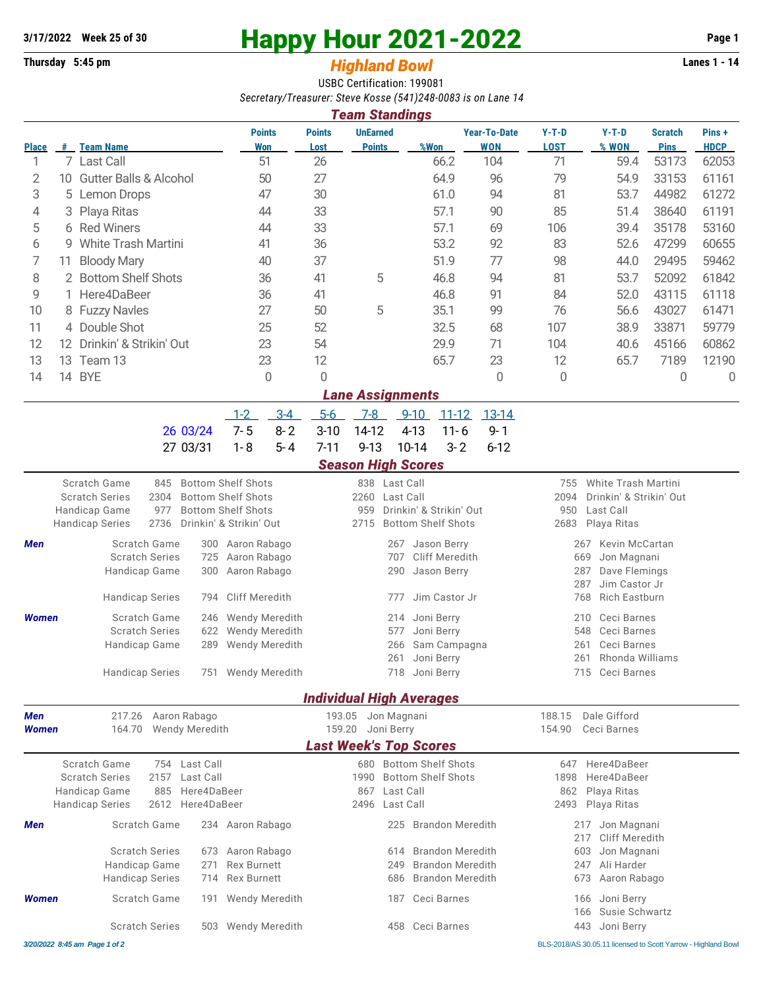# **3/17/2022** Week 25 of 30<br>
Thursday 5:45 pm<br> **Happy Hour 2021-2022** Page 1<br> **Highland Rowl**

## **Thursday 5:45 pm** *Highland Bowl*

USBC Certification: 199081 *Secretary/Treasurer: Steve Kosse (541)248-0083 is on Lane 14*

| <b>Team Standings</b> |     |                                   |                             |                       |                                  |               |                                                       |                        |                  |                               |                      |
|-----------------------|-----|-----------------------------------|-----------------------------|-----------------------|----------------------------------|---------------|-------------------------------------------------------|------------------------|------------------|-------------------------------|----------------------|
| <b>Place</b>          | #   | <b>Team Name</b>                  | <b>Points</b><br><b>Won</b> | <b>Points</b><br>Lost | <b>UnEarned</b><br><b>Points</b> | %Won          | <b>Year-To-Date</b><br><b>WON</b>                     | $Y-T-D$<br><b>LOST</b> | $Y-T-D$<br>% WON | <b>Scratch</b><br><b>Pins</b> | Pins+<br><b>HDCP</b> |
|                       |     | 7 Last Call                       | 51                          | 26                    |                                  | 66.2          | 104                                                   | 71                     | 59.4             | 53173                         | 62053                |
| 2                     | 10  | <b>Gutter Balls &amp; Alcohol</b> | 50                          | 27                    |                                  | 64.9          | 96                                                    | 79                     | 54.9             | 33153                         | 61161                |
| 3                     |     | 5 Lemon Drops                     | 47                          | 30                    |                                  | 61.0          | 94                                                    | 81                     | 53.7             | 44982                         | 61272                |
| 4                     |     | 3 Playa Ritas                     | 44                          | 33                    |                                  | 57.1          | 90                                                    | 85                     | 51.4             | 38640                         | 61191                |
| 5                     |     | 6 Red Winers                      | 44                          | 33                    |                                  | 57.1          | 69                                                    | 106                    | 39.4             | 35178                         | 53160                |
| 6                     |     | 9 White Trash Martini             | 41                          | 36                    |                                  | 53.2          | 92                                                    | 83                     | 52.6             | 47299                         | 60655                |
| 7                     | 11. | <b>Bloody Mary</b>                | 40                          | 37                    |                                  | 51.9          | 77                                                    | 98                     | 44.0             | 29495                         | 59462                |
| 8                     |     | 2 Bottom Shelf Shots              | 36                          | 41                    | 5                                | 46.8          | 94                                                    | 81                     | 53.7             | 52092                         | 61842                |
| 9                     |     | 1 Here4DaBeer                     | 36                          | 41                    |                                  | 46.8          | 91                                                    | 84                     | 52.0             | 43115                         | 61118                |
| 10                    |     | 8 Fuzzy Navles                    | 27                          | 50                    | 5                                | 35.1          | 99                                                    | 76                     | 56.6             | 43027                         | 61471                |
| 11                    |     | 4 Double Shot                     | 25                          | 52                    |                                  | 32.5          | 68                                                    | 107                    | 38.9             | 33871                         | 59779                |
| 12                    | 12. | Drinkin' & Strikin' Out           | 23                          | 54                    |                                  | 29.9          | 71                                                    | 104                    | 40.6             | 45166                         | 60862                |
| 13                    | 13  | Team 13                           | 23                          | 12                    |                                  | 65.7          | 23                                                    | 12                     | 65.7             | 7189                          | 12190                |
| 14                    | 14  | <b>BYE</b>                        | $\overline{0}$              | $\mathbf{0}$          |                                  |               | $\overline{0}$                                        | 0                      |                  | $\mathbf{0}$                  | 0                    |
|                       |     |                                   |                             |                       | <b>Lane Assignments</b>          |               |                                                       |                        |                  |                               |                      |
|                       |     |                                   | $\sim$<br>$\sim$ $\lambda$  | $\Gamma$ $\Gamma$     | $\overline{\phantom{a}}$         | 0.10<br>11.10 | $\begin{array}{c} \n 1 \cap \neg A \\ \n \end{array}$ |                        |                  |                               |                      |

|                                           |  | 1-2 3-4 5-6 7-8 9-10 11-12 13-14 |  |  |
|-------------------------------------------|--|----------------------------------|--|--|
| 26 03/24 7-5 8-2 3-10 14-12 4-13 11-6 9-1 |  |                                  |  |  |
| 27 03/31 1-8 5-4 7-11 9-13 10-14 3-2 6-12 |  |                                  |  |  |

### *Season High Scores*

|                                 |                                                                              |                                       |                                                                                     | ucusun miyn ucurcs            |                            |                                                        |                    |                                                                                          |  |  |  |
|---------------------------------|------------------------------------------------------------------------------|---------------------------------------|-------------------------------------------------------------------------------------|-------------------------------|----------------------------|--------------------------------------------------------|--------------------|------------------------------------------------------------------------------------------|--|--|--|
|                                 | Scratch Game<br>845<br><b>Scratch Series</b><br>2304<br>Handicap Game<br>977 |                                       | <b>Bottom Shelf Shots</b><br><b>Bottom Shelf Shots</b><br><b>Bottom Shelf Shots</b> | 2260<br>959                   | 838 Last Call<br>Last Call | Drinkin' & Strikin' Out                                | 755<br>2094<br>950 | <b>White Trash Martini</b><br>Drinkin' & Strikin' Out<br>Last Call                       |  |  |  |
|                                 | 2736<br><b>Handicap Series</b>                                               |                                       | Drinkin' & Strikin' Out                                                             | 2715                          |                            | <b>Bottom Shelf Shots</b>                              | 2683               | Playa Ritas                                                                              |  |  |  |
| <b>Men</b>                      | Scratch Game<br><b>Scratch Series</b><br>Handicap Game                       | 300<br>725<br>300                     | Aaron Rabago<br>Aaron Rabago<br>Aaron Rabago                                        |                               | 267<br>707<br>290          | Jason Berry<br>Cliff Meredith<br>Jason Berry           |                    | <b>Kevin McCartan</b><br>267<br>669<br>Jon Magnani<br>287<br>Dave Flemings               |  |  |  |
|                                 | <b>Handicap Series</b>                                                       | 794                                   | <b>Cliff Meredith</b>                                                               |                               | 777                        | Jim Castor Jr                                          |                    | Jim Castor Jr<br>287<br><b>Rich Eastburn</b><br>768                                      |  |  |  |
| <b>Women</b>                    | Scratch Game<br><b>Scratch Series</b><br>Handicap Game                       | 246<br>622<br>289                     | <b>Wendy Meredith</b><br>Wendy Meredith<br><b>Wendy Meredith</b>                    |                               | 214<br>577<br>266<br>261   | Joni Berry<br>Joni Berry<br>Sam Campagna<br>Joni Berry |                    | Ceci Barnes<br>210<br>Ceci Barnes<br>548<br>Ceci Barnes<br>261<br>Rhonda Williams<br>261 |  |  |  |
|                                 | <b>Handicap Series</b>                                                       | 751                                   | <b>Wendy Meredith</b>                                                               |                               | 718                        | Joni Berry                                             |                    | Ceci Barnes<br>715                                                                       |  |  |  |
| <b>Individual High Averages</b> |                                                                              |                                       |                                                                                     |                               |                            |                                                        |                    |                                                                                          |  |  |  |
| <b>Men</b><br><b>Women</b>      | 217.26<br>164.70                                                             | Aaron Rabago<br><b>Wendy Meredith</b> |                                                                                     | 193.05<br>159.20              | Jon Magnani<br>Joni Berry  |                                                        | 188.15<br>154.90   | Dale Gifford<br>Ceci Barnes                                                              |  |  |  |
|                                 |                                                                              |                                       |                                                                                     | <b>Last Week's Top Scores</b> |                            |                                                        |                    |                                                                                          |  |  |  |
|                                 | Scratch Game<br>754<br><b>Scratch Series</b><br>2157<br>Handicap Game<br>885 | Last Call<br>Last Call<br>Here4DaBeer |                                                                                     | 680<br>1990<br>867            | Last Call                  | <b>Bottom Shelf Shots</b><br><b>Bottom Shelf Shots</b> | 647<br>1898<br>862 | Here4DaBeer<br>Here4DaBeer<br>Playa Ritas                                                |  |  |  |
|                                 | 2612<br><b>Handicap Series</b>                                               | Here4DaBeer                           |                                                                                     | 2496                          | Last Call                  |                                                        | 2493               | Playa Ritas                                                                              |  |  |  |
| <b>Men</b>                      | Scratch Game                                                                 | 234                                   | Aaron Rabago                                                                        |                               | 225                        | <b>Brandon Meredith</b>                                |                    | 217<br>Jon Magnani<br>Cliff Meredith<br>217                                              |  |  |  |
|                                 | <b>Scratch Series</b>                                                        | 673                                   | Aaron Rabago                                                                        |                               | 614                        | <b>Brandon Meredith</b>                                |                    | 603<br>Jon Magnani                                                                       |  |  |  |
|                                 | Handicap Game                                                                | 271                                   | <b>Rex Burnett</b>                                                                  |                               | 249                        | <b>Brandon Meredith</b>                                |                    | 247<br>Ali Harder                                                                        |  |  |  |
|                                 | <b>Handicap Series</b>                                                       | 714                                   | <b>Rex Burnett</b>                                                                  |                               | 686                        | <b>Brandon Meredith</b>                                |                    | 673<br>Aaron Rabago                                                                      |  |  |  |
| <b>Women</b>                    | Scratch Game                                                                 | 191                                   | <b>Wendy Meredith</b>                                                               |                               | 187                        | Ceci Barnes                                            |                    | Joni Berry<br>166<br>Susie Schwartz<br>166                                               |  |  |  |
|                                 | <b>Scratch Series</b>                                                        | 503                                   | <b>Wendy Meredith</b>                                                               |                               | 458                        | Ceci Barnes                                            |                    | Joni Berry<br>443                                                                        |  |  |  |

*3/20/2022 8:45 am Page 1 of 2* BLS-2018/AS 30.05.11 licensed to Scott Yarrow - Highland Bowl